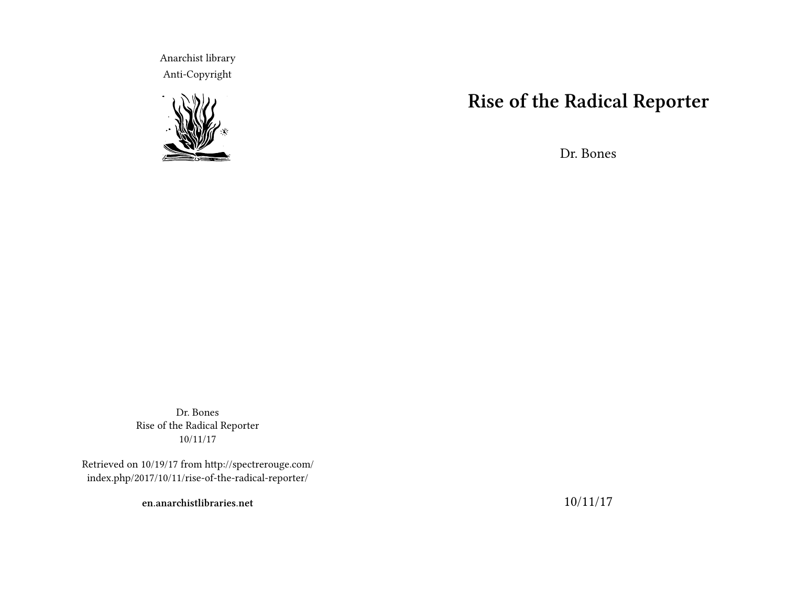Anarchist library Anti-Copyright



**Rise of the Radical Reporter**

Dr. Bones

Dr. Bones Rise of the Radical Reporter 10/11/17

Retrieved on 10/19/17 from http://spectrerouge.com/ index.php/2017/10/11/rise-of-the-radical-reporter/

**en.anarchistlibraries.net**

10/11/17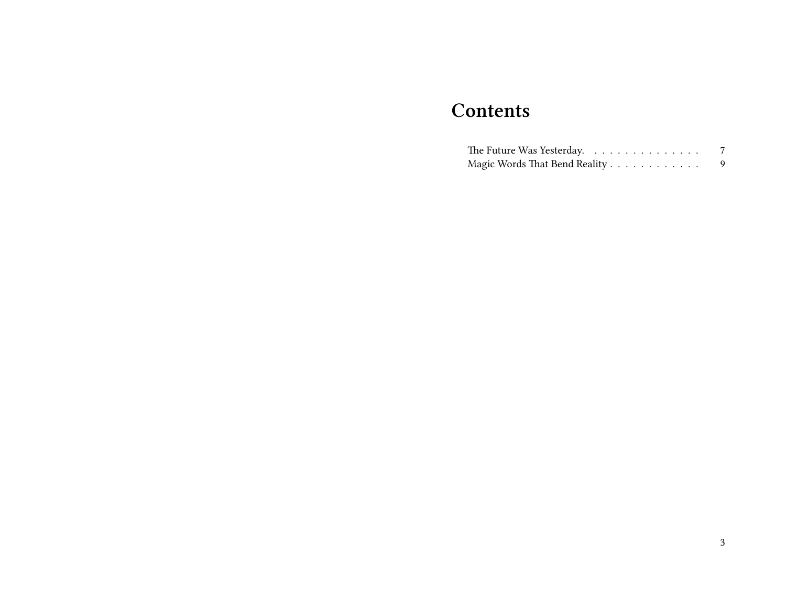## **Contents**

| The Future Was Yesterday. $\ldots \ldots \ldots \ldots$ |  |
|---------------------------------------------------------|--|
| Magic Words That Bend Reality                           |  |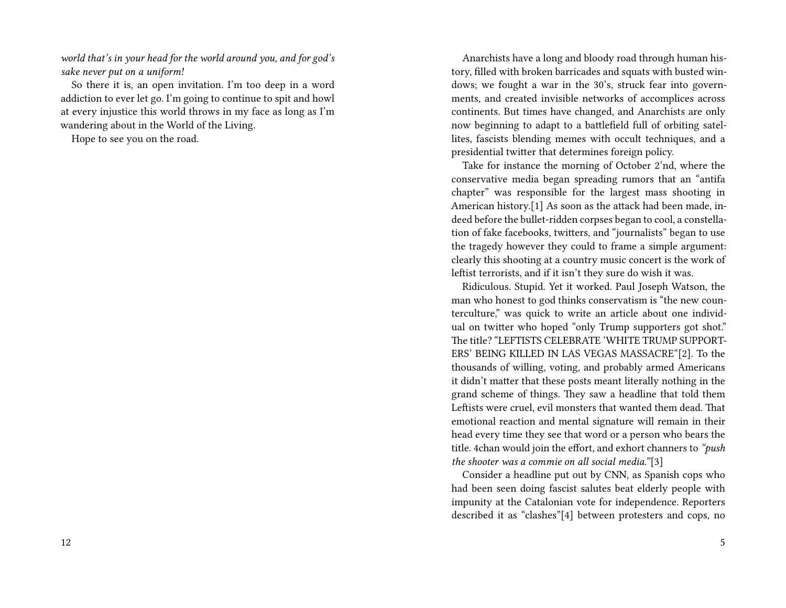*world that's in your head for the world around you, and for god's sake never put on a uniform!*

So there it is, an open invitation. I'm too deep in a word addiction to ever let go. I'm going to continue to spit and howl at every injustice this world throws in my face as long as I'm wandering about in the World of the Living.

Hope to see you on the road.

Anarchists have a long and bloody road through human history, filled with broken barricades and squats with busted windows; we fought a war in the 30's, struck fear into governments, and created invisible networks of accomplices across continents. But times have changed, and Anarchists are only now beginning to adapt to a battlefield full of orbiting satellites, fascists blending memes with occult techniques, and a presidential twitter that determines foreign policy.

Take for instance the morning of October 2'nd, where the conservative media began spreading rumors that an "antifa chapter" was responsible for the largest mass shooting in American history.[1] As soon as the attack had been made, indeed before the bullet-ridden corpses began to cool, a constellation of fake facebooks, twitters, and "journalists" began to use the tragedy however they could to frame a simple argument: clearly this shooting at a country music concert is the work of leftist terrorists, and if it isn't they sure do wish it was.

Ridiculous. Stupid. Yet it worked. Paul Joseph Watson, the man who honest to god thinks conservatism is "the new counterculture," was quick to write an article about one individual on twitter who hoped "only Trump supporters got shot." The title? "LEFTISTS CELEBRATE 'WHITE TRUMP SUPPORT-ERS' BEING KILLED IN LAS VEGAS MASSACRE"[2]. To the thousands of willing, voting, and probably armed Americans it didn't matter that these posts meant literally nothing in the grand scheme of things. They saw a headline that told them Leftists were cruel, evil monsters that wanted them dead. That emotional reaction and mental signature will remain in their head every time they see that word or a person who bears the title. 4chan would join the effort, and exhort channers to *"push the shooter was a commie on all social media."*[3]

Consider a headline put out by CNN, as Spanish cops who had been seen doing fascist salutes beat elderly people with impunity at the Catalonian vote for independence. Reporters described it as "clashes"[4] between protesters and cops, no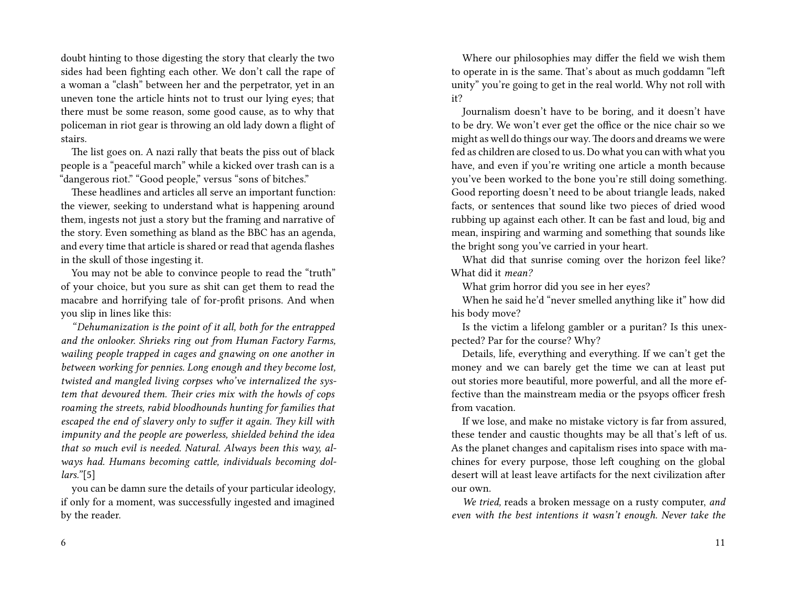doubt hinting to those digesting the story that clearly the two sides had been fighting each other. We don't call the rape of a woman a "clash" between her and the perpetrator, yet in an uneven tone the article hints not to trust our lying eyes; that there must be some reason, some good cause, as to why that policeman in riot gear is throwing an old lady down a flight of stairs.

The list goes on. A nazi rally that beats the piss out of black people is a "peaceful march" while a kicked over trash can is a "dangerous riot." "Good people," versus "sons of bitches."

These headlines and articles all serve an important function: the viewer, seeking to understand what is happening around them, ingests not just a story but the framing and narrative of the story. Even something as bland as the BBC has an agenda, and every time that article is shared or read that agenda flashes in the skull of those ingesting it.

You may not be able to convince people to read the "truth" of your choice, but you sure as shit can get them to read the macabre and horrifying tale of for-profit prisons. And when you slip in lines like this:

*"Dehumanization is the point of it all, both for the entrapped and the onlooker. Shrieks ring out from Human Factory Farms, wailing people trapped in cages and gnawing on one another in between working for pennies. Long enough and they become lost, twisted and mangled living corpses who've internalized the system that devoured them. Their cries mix with the howls of cops roaming the streets, rabid bloodhounds hunting for families that escaped the end of slavery only to suffer it again. They kill with impunity and the people are powerless, shielded behind the idea that so much evil is needed. Natural. Always been this way, always had. Humans becoming cattle, individuals becoming dollars."*[5]

you can be damn sure the details of your particular ideology, if only for a moment, was successfully ingested and imagined by the reader.

6

Where our philosophies may differ the field we wish them to operate in is the same. That's about as much goddamn "left unity" you're going to get in the real world. Why not roll with it?

Journalism doesn't have to be boring, and it doesn't have to be dry. We won't ever get the office or the nice chair so we might as well do things our way.The doors and dreams we were fed as children are closed to us. Do what you can with what you have, and even if you're writing one article a month because you've been worked to the bone you're still doing something. Good reporting doesn't need to be about triangle leads, naked facts, or sentences that sound like two pieces of dried wood rubbing up against each other. It can be fast and loud, big and mean, inspiring and warming and something that sounds like the bright song you've carried in your heart.

What did that sunrise coming over the horizon feel like? What did it *mean?*

What grim horror did you see in her eyes?

When he said he'd "never smelled anything like it" how did his body move?

Is the victim a lifelong gambler or a puritan? Is this unexpected? Par for the course? Why?

Details, life, everything and everything. If we can't get the money and we can barely get the time we can at least put out stories more beautiful, more powerful, and all the more effective than the mainstream media or the psyops officer fresh from vacation.

If we lose, and make no mistake victory is far from assured, these tender and caustic thoughts may be all that's left of us. As the planet changes and capitalism rises into space with machines for every purpose, those left coughing on the global desert will at least leave artifacts for the next civilization after our own.

*We tried,* reads a broken message on a rusty computer, *and even with the best intentions it wasn't enough. Never take the*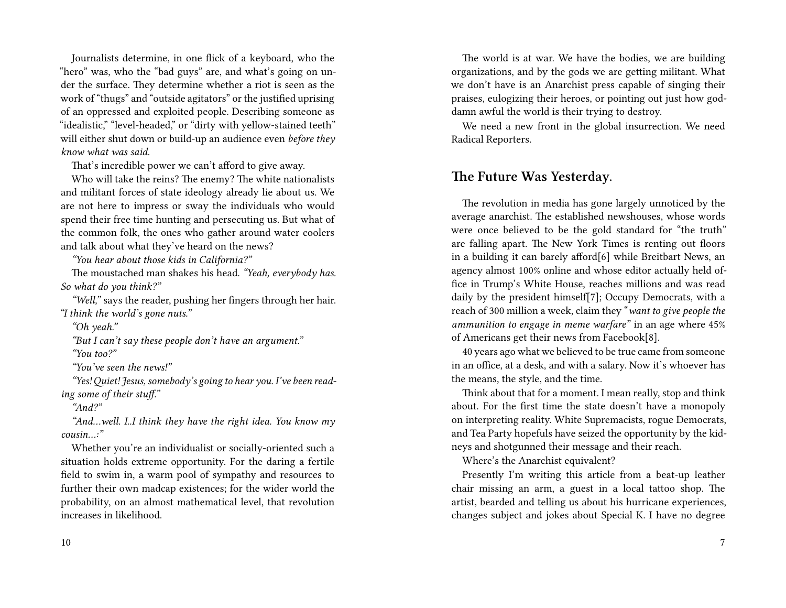Journalists determine, in one flick of a keyboard, who the "hero" was, who the "bad guys" are, and what's going on under the surface. They determine whether a riot is seen as the work of "thugs" and "outside agitators" or the justified uprising of an oppressed and exploited people. Describing someone as "idealistic," "level-headed," or "dirty with yellow-stained teeth" will either shut down or build-up an audience even *before they know what was said.*

That's incredible power we can't afford to give away.

Who will take the reins? The enemy? The white nationalists and militant forces of state ideology already lie about us. We are not here to impress or sway the individuals who would spend their free time hunting and persecuting us. But what of the common folk, the ones who gather around water coolers and talk about what they've heard on the news?

*"You hear about those kids in California?"*

The moustached man shakes his head. *"Yeah, everybody has. So what do you think?"*

*"Well,"* says the reader, pushing her fingers through her hair. *"I think the world's gone nuts."*

*"Oh yeah."*

*"But I can't say these people don't have an argument." "You too?"*

*"You've seen the news!"*

*"Yes!Quiet! Jesus, somebody's going to hear you. I've been reading some of their stuff."*

*"And?"*

*"And…well. I..I think they have the right idea. You know my cousin…:"*

Whether you're an individualist or socially-oriented such a situation holds extreme opportunity. For the daring a fertile field to swim in, a warm pool of sympathy and resources to further their own madcap existences; for the wider world the probability, on an almost mathematical level, that revolution increases in likelihood.

The world is at war. We have the bodies, we are building organizations, and by the gods we are getting militant. What we don't have is an Anarchist press capable of singing their praises, eulogizing their heroes, or pointing out just how goddamn awful the world is their trying to destroy.

We need a new front in the global insurrection. We need Radical Reporters.

## **The Future Was Yesterday.**

The revolution in media has gone largely unnoticed by the average anarchist. The established newshouses, whose words were once believed to be the gold standard for "the truth" are falling apart. The New York Times is renting out floors in a building it can barely afford[6] while Breitbart News, an agency almost 100% online and whose editor actually held office in Trump's White House, reaches millions and was read daily by the president himself[7]; Occupy Democrats, with a reach of 300 million a week, claim they "*want to give people the ammunition to engage in meme warfare"* in an age where 45% of Americans get their news from Facebook[8].

40 years ago what we believed to be true came from someone in an office, at a desk, and with a salary. Now it's whoever has the means, the style, and the time.

Think about that for a moment. I mean really, stop and think about. For the first time the state doesn't have a monopoly on interpreting reality. White Supremacists, rogue Democrats, and Tea Party hopefuls have seized the opportunity by the kidneys and shotgunned their message and their reach.

Where's the Anarchist equivalent?

Presently I'm writing this article from a beat-up leather chair missing an arm, a guest in a local tattoo shop. The artist, bearded and telling us about his hurricane experiences, changes subject and jokes about Special K. I have no degree